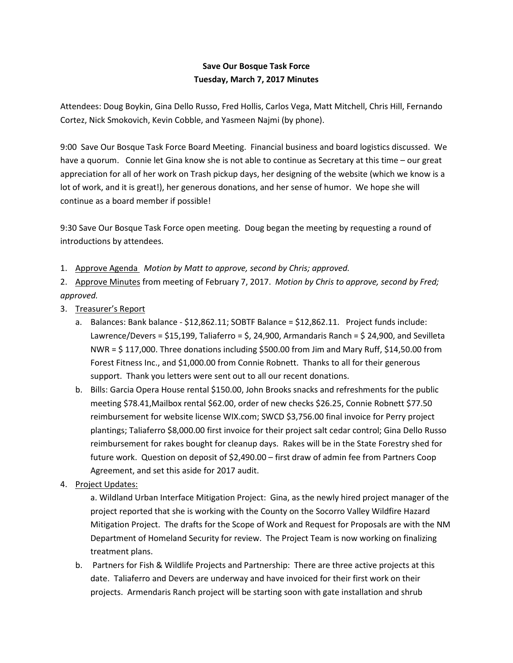## **Save Our Bosque Task Force Tuesday, March 7, 2017 Minutes**

Attendees: Doug Boykin, Gina Dello Russo, Fred Hollis, Carlos Vega, Matt Mitchell, Chris Hill, Fernando Cortez, Nick Smokovich, Kevin Cobble, and Yasmeen Najmi (by phone).

9:00 Save Our Bosque Task Force Board Meeting. Financial business and board logistics discussed. We have a quorum. Connie let Gina know she is not able to continue as Secretary at this time – our great appreciation for all of her work on Trash pickup days, her designing of the website (which we know is a lot of work, and it is great!), her generous donations, and her sense of humor. We hope she will continue as a board member if possible!

9:30 Save Our Bosque Task Force open meeting. Doug began the meeting by requesting a round of introductions by attendees.

1. Approve Agenda *Motion by Matt to approve, second by Chris; approved.* 

2. Approve Minutes from meeting of February 7, 2017. *Motion by Chris to approve, second by Fred; approved.* 

- 3. Treasurer's Report
	- a. Balances: Bank balance \$12,862.11; SOBTF Balance = \$12,862.11. Project funds include: Lawrence/Devers = \$15,199, Taliaferro = \$, 24,900, Armandaris Ranch = \$ 24,900, and Sevilleta NWR = \$ 117,000. Three donations including \$500.00 from Jim and Mary Ruff, \$14,50.00 from Forest Fitness Inc., and \$1,000.00 from Connie Robnett. Thanks to all for their generous support. Thank you letters were sent out to all our recent donations.
	- b. Bills: Garcia Opera House rental \$150.00, John Brooks snacks and refreshments for the public meeting \$78.41,Mailbox rental \$62.00, order of new checks \$26.25, Connie Robnett \$77.50 reimbursement for website license WIX.com; SWCD \$3,756.00 final invoice for Perry project plantings; Taliaferro \$8,000.00 first invoice for their project salt cedar control; Gina Dello Russo reimbursement for rakes bought for cleanup days. Rakes will be in the State Forestry shed for future work. Question on deposit of \$2,490.00 – first draw of admin fee from Partners Coop Agreement, and set this aside for 2017 audit.
- 4. Project Updates:

 a. Wildland Urban Interface Mitigation Project: Gina, as the newly hired project manager of the project reported that she is working with the County on the Socorro Valley Wildfire Hazard Mitigation Project. The drafts for the Scope of Work and Request for Proposals are with the NM Department of Homeland Security for review. The Project Team is now working on finalizing treatment plans.

b. Partners for Fish & Wildlife Projects and Partnership: There are three active projects at this date. Taliaferro and Devers are underway and have invoiced for their first work on their projects. Armendaris Ranch project will be starting soon with gate installation and shrub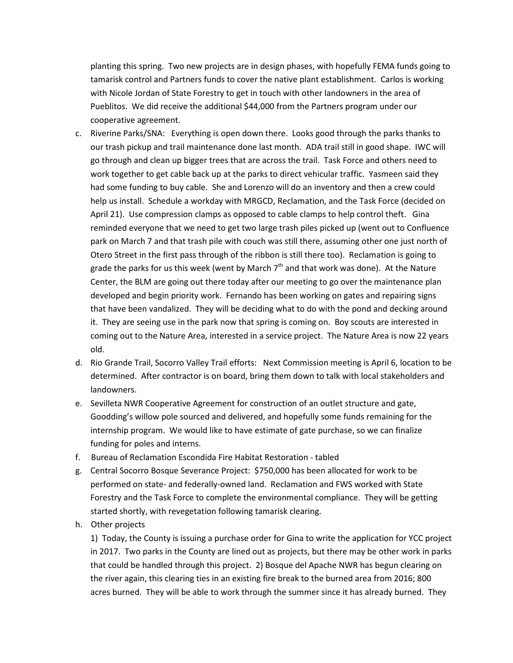planting this spring. Two new projects are in design phases, with hopefully FEMA funds going to tamarisk control and Partners funds to cover the native plant establishment. Carlos is working with Nicole Jordan of State Forestry to get in touch with other landowners in the area of Pueblitos. We did receive the additional \$44,000 from the Partners program under our cooperative agreement.

- c. Riverine Parks/SNA: Everything is open down there. Looks good through the parks thanks to our trash pickup and trail maintenance done last month. ADA trail still in good shape. IWC will go through and clean up bigger trees that are across the trail. Task Force and others need to work together to get cable back up at the parks to direct vehicular traffic. Yasmeen said they had some funding to buy cable. She and Lorenzo will do an inventory and then a crew could help us install. Schedule a workday with MRGCD, Reclamation, and the Task Force (decided on April 21). Use compression clamps as opposed to cable clamps to help control theft. Gina reminded everyone that we need to get two large trash piles picked up (went out to Confluence park on March 7 and that trash pile with couch was still there, assuming other one just north of Otero Street in the first pass through of the ribbon is still there too). Reclamation is going to grade the parks for us this week (went by March  $7<sup>th</sup>$  and that work was done). At the Nature Center, the BLM are going out there today after our meeting to go over the maintenance plan developed and begin priority work. Fernando has been working on gates and repairing signs that have been vandalized. They will be deciding what to do with the pond and decking around it. They are seeing use in the park now that spring is coming on. Boy scouts are interested in coming out to the Nature Area, interested in a service project. The Nature Area is now 22 years old.
- d. Rio Grande Trail, Socorro Valley Trail efforts: Next Commission meeting is April 6, location to be determined. After contractor is on board, bring them down to talk with local stakeholders and landowners.
- e. Sevilleta NWR Cooperative Agreement for construction of an outlet structure and gate, Goodding's willow pole sourced and delivered, and hopefully some funds remaining for the internship program. We would like to have estimate of gate purchase, so we can finalize funding for poles and interns.
- f. Bureau of Reclamation Escondida Fire Habitat Restoration tabled
- g. Central Socorro Bosque Severance Project: \$750,000 has been allocated for work to be performed on state- and federally-owned land. Reclamation and FWS worked with State Forestry and the Task Force to complete the environmental compliance. They will be getting started shortly, with revegetation following tamarisk clearing.
- h. Other projects

1) Today, the County is issuing a purchase order for Gina to write the application for YCC project in 2017. Two parks in the County are lined out as projects, but there may be other work in parks that could be handled through this project. 2) Bosque del Apache NWR has begun clearing on the river again, this clearing ties in an existing fire break to the burned area from 2016; 800 acres burned. They will be able to work through the summer since it has already burned. They